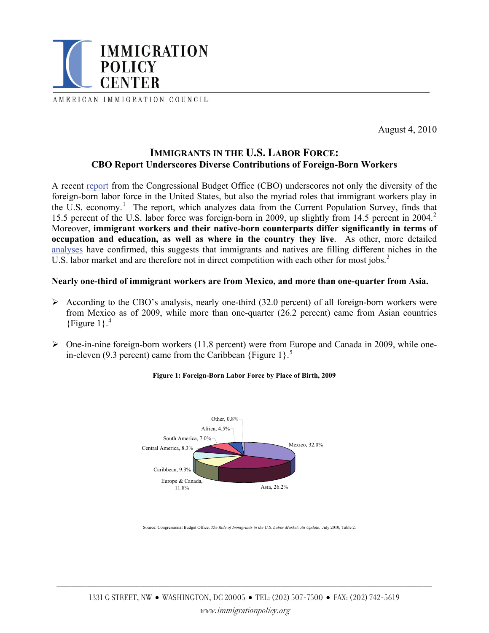

AMERICAN IMMIGRATION COUNCIL

August 4, 2010

# **IMMIGRANTS IN THE U.S. LABOR FORCE: CBO Report Underscores Diverse Contributions of Foreign-Born Workers**

A recent [report](http://cbo.gov/ftpdocs/116xx/doc11691/07-23-Immigrants_in_Labor_Force.pdf) from the Congressional Budget Office (CBO) underscores not only the diversity of the foreign-born labor force in the United States, but also the myriad roles that immigrant workers play in the U.S. economy.<sup>[1](#page-4-0)</sup> The report, which analyzes data from the Current Population Survey, finds that 15.5 percent of the U.S. labor force was foreign-born in [2](#page-4-1)009, up slightly from 14.5 percent in 2004.<sup>2</sup> Moreover, **immigrant workers and their native-born counterparts differ significantly in terms of occupation and education, as well as where in the country they live**. As other, more detailed [analyses](http://immigrationpolicy.org/special-reports/untying-knot-series-unemployment-and-immigration) have confirmed, this suggests that immigrants and natives are filling different niches in the U.S. labor market and are therefore not in direct competition with each other for most jobs.<sup>[3](#page-4-1)</sup>

# **Nearly one-third of immigrant workers are from Mexico, and more than one-quarter from Asia.**

- $\triangleright$  According to the CBO's analysis, nearly one-third (32.0 percent) of all foreign-born workers were from Mexico as of 2009, while more than one-quarter (26.2 percent) came from Asian countries {Figure  $1$ }.<sup>[4](#page-4-1)</sup>
- $\triangleright$  One-in-nine foreign-born workers (11.8 percent) were from Europe and Canada in 2009, while onein-eleven (9.3 percent) came from the Caribbean  ${Figure 1}$ .<sup>[5](#page-4-1)</sup>



#### **Figure 1: Foreign-Born Labor Force by Place of Birth, 2009**

Source: Congressional Budget Office, *The Role of Immigrants in the U.S. Labor Market: An Update,* July 2010, Table 2.

\_\_\_\_\_\_\_\_\_\_\_\_\_\_\_\_\_\_\_\_\_\_\_\_\_\_\_\_\_\_\_\_\_\_\_\_\_\_\_\_\_\_\_\_\_\_\_\_\_\_\_\_\_\_\_\_\_\_\_\_\_\_\_\_\_\_\_\_\_\_\_\_\_\_\_\_\_\_\_\_\_\_\_\_\_\_\_\_\_\_\_\_\_\_\_\_\_\_\_\_\_\_\_\_\_\_\_\_\_\_\_\_\_\_\_\_\_\_\_\_\_\_\_\_\_\_\_\_\_\_\_\_\_\_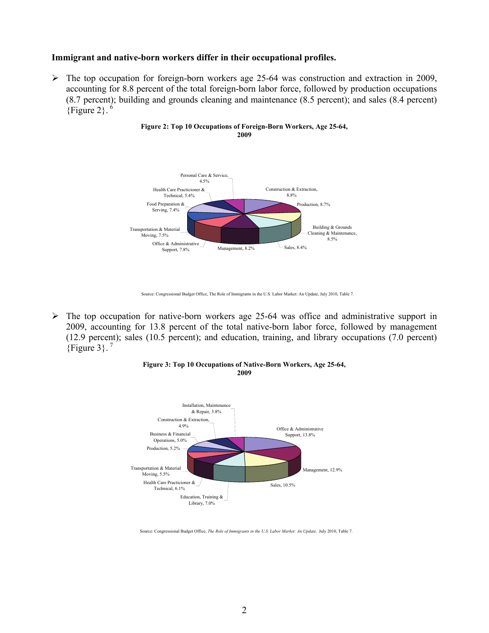### **Immigrant and native-born workers differ in their occupational profiles.**

 $\triangleright$  The top occupation for foreign-born workers age 25-64 was construction and extraction in 2009, accounting for 8.8 percent of the total foreign-born labor force, followed by production occupations (8.7 percent); building and grounds cleaning and maintenance (8.5 percent); and sales (8.4 percent) {Figure 2}. $^6$  $^6$ 



#### **Figure 2: Top 10 Occupations of Foreign-Born Workers, Age 25-64, 2009**

 $\triangleright$  The top occupation for native-born workers age 25-64 was office and administrative support in 2009, accounting for 13.8 percent of the total native-born labor force, followed by management (12.9 percent); sales (10.5 percent); and education, training, and library occupations (7.0 percent)  ${Figure 3}$ .<sup>[7](#page-4-1)</sup>



#### **Figure 3: Top 10 Occupations of Native-Born Workers, Age 25-64, 2009**

Source: Congressional Budget Office, The Role of Immigrants in the U.S. Labor Market: An Update, July 2010, Table 7.

Source: Congressional Budget Office, *The Role of Immigrants in the U.S. Labor Market: An Update,* July 2010, Table 7.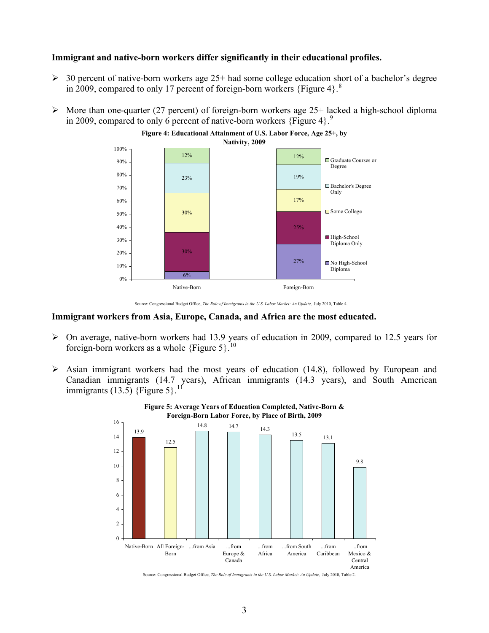### **Immigrant and native-born workers differ significantly in their educational profiles.**

- $\geq$  30 percent of native-born workers age 25+ had some college education short of a bachelor's degree in 2009, compared to only 17 percent of foreign-born workers {Figure 4}.<sup>[8](#page-4-1)</sup>
- $\triangleright$  More than one-quarter (27 percent) of foreign-born workers age 25+ lacked a high-school diploma in 200[9](#page-4-1), compared to only 6 percent of native-born workers {Figure 4}.<sup>9</sup>



Source: Congressional Budget Office, *The Role of Immigrants in the U.S. Labor Market: An Update*, July 2010, Table 4.

#### **Immigrant workers from Asia, Europe, Canada, and Africa are the most educated.**

- ¾ On average, native-born workers had 13.9 years of education in 2009, compared to 12.5 years for foreign-born workers as a whole  $\{Figure 5\}$ .<sup>[10](#page-4-1)</sup>
- $\triangleright$  Asian immigrant workers had the most years of education (14.8), followed by European and Canadian immigrants (14.7 years), African immigrants (14.3 years), and South American immigrants (13.5) {Figure 5}.<sup>[11](#page-4-1)</sup>





Source: Congressional Budget Office, *The Role of Immigrants in the U.S. Labor Market: An Update,* July 2010, Table 2.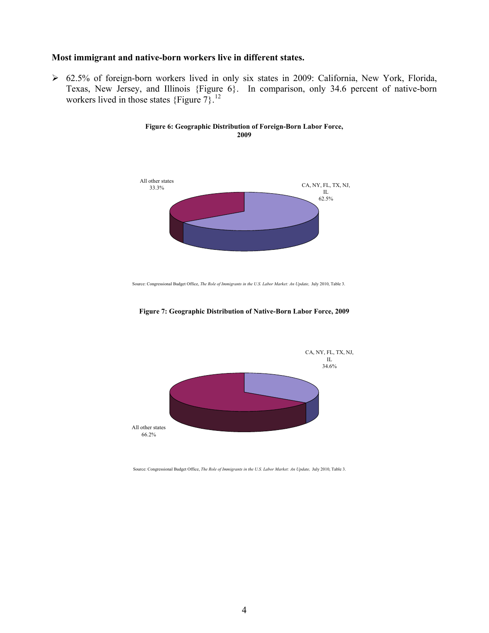### **Most immigrant and native-born workers live in different states.**

¾ 62.5% of foreign-born workers lived in only six states in 2009: California, New York, Florida, Texas, New Jersey, and Illinois {Figure 6}. In comparison, only 34.6 percent of native-born workers lived in those states  ${Figure 7}$ .<sup>[12](#page-4-1)</sup>

> **Figure 6: Geographic Distribution of Foreign-Born Labor Force, 2009**



Source: Congressional Budget Office, *The Role of Immigrants in the U.S. Labor Market: An Update,* July 2010, Table 3.





Source: Congressional Budget Office, *The Role of Immigrants in the U.S. Labor Market: An Update,* July 2010, Table 3.